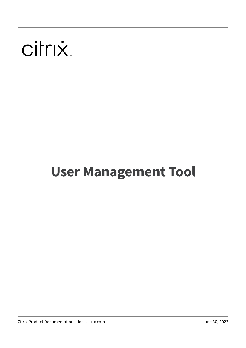# citrix.

# **User Management Tool**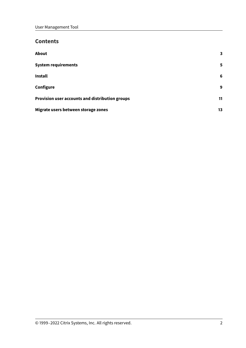# **Contents**

| About                                           | 3  |
|-------------------------------------------------|----|
| <b>System requirements</b>                      | 5. |
| <b>Install</b>                                  | 6  |
| Configure                                       | 9  |
| Provision user accounts and distribution groups | 11 |
| Migrate users between storage zones             | 13 |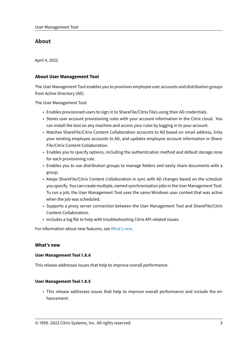## **About**

<span id="page-2-0"></span>April 4, 2022

#### **About User Management Tool**

The User Management Tool enables you to provision employee user accounts and distribution groups from Active Directory (AD).

The User Management Tool:

- Enables provisioned users to sign in to ShareFile/Citrix Files using their AD credentials.
- Stores user account provisioning rules with your account information in the Citrix cloud. You can install the tool on any machine and access your rules by logging in to your account.
- Matches ShareFile/Citrix Content Collaboration accounts to AD based on email address, links your existing employee accounts to AD, and updates employee account information in Share-File/Citrix Content Collaboration.
- Enables you to specify options, including the authentication method and default storage zone for each provisioning rule.
- Enables you to use distribution groups to manage folders and easily share documents with a group.
- Keeps ShareFile/Citrix Content Collaboration in sync with AD changes based on the schedule you specify. You can create multiple, named synchronization jobs in the User Management Tool. To run a job, the User Management Tool uses the same Windows user context that was active when the job was scheduled.
- Supports a proxy server connection between the User Management Tool and ShareFile/Citrix Content Collaboration.
- Includes a log file to help with troubleshooting Citrix API-related issues.

For information about new features, see What's new.

#### **What's new**

#### **User Management Tool 1.8.6**

This release addresses issues that help to improve overall performance.

#### **User Management Tool 1.8.5**

• This release addresses issues that help to improve overall performance and include the enhancement: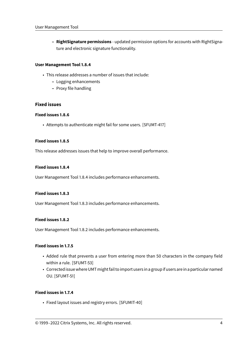**– RightSignature permissions** - updated permission options for accounts with RightSignature and electronic signature functionality.

#### **User Management Tool 1.8.4**

- This release addresses a number of issues that include:
	- **–** Logging enhancements
	- **–** Proxy file handling

#### **Fixed issues**

#### **Fixed issues 1.8.6**

• Attempts to authenticate might fail for some users. [SFUMT-417]

#### **Fixed issues 1.8.5**

This release addresses issues that help to improve overall performance.

#### **Fixed issues 1.8.4**

User Management Tool 1.8.4 includes performance enhancements.

#### **Fixed issues 1.8.3**

User Management Tool 1.8.3 includes performance enhancements.

#### **Fixed issues 1.8.2**

User Management Tool 1.8.2 includes performance enhancements.

#### **Fixed issues in 1.7.5**

- Added rule that prevents a user from entering more than 50 characters in the company field within a rule. [SFUMT-53]
- Corrected issue where UMT might fail to import users in a group if users are in a particular named OU. [SFUMT-51]

#### **Fixed issues in 1.7.4**

• Fixed layout issues and registry errors. [SFUMIT-40]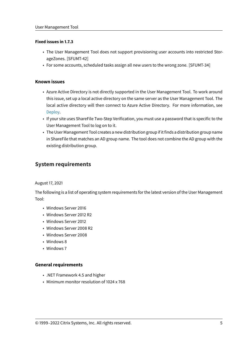#### **Fixed issues in 1.7.3**

- The User Management Tool does not support provisioning user accounts into restricted StorageZones. [SFUMT-42]
- For some accounts, scheduled tasks assign all new users to the wrong zone. [SFUMT-34]

#### **Known issues**

- Azure Active Directory is not directly supported in the User Management Tool. To work around this issue, set up a local active directory on the same server as the User Management Tool. The local active directory will then connect to Azure Active Directory. For more information, see Deploy.
- If your site uses ShareFile Two-Step Verification, you must use a password that is specific to the User Management Tool to log on to it.
- [The Use](https://docs.citrix.com/en-us/citrix-content-collaboration/deploy.html)r Management Tool creates a new distribution group if it finds a distribution group name in ShareFile that matches an AD group name. The tool does not combine the AD group with the existing distribution group.

## **System requirements**

<span id="page-4-0"></span>August 17, 2021

The following is a list of operating system requirements for the latest version of the User Management Tool:

- Windows Server 2016
- Windows Server 2012 R2
- Windows Server 2012
- Windows Server 2008 R2
- Windows Server 2008
- Windows 8
- Windows 7

#### **General requirements**

- .NET Framework 4.5 and higher
- Minimum monitor resolution of 1024 x 768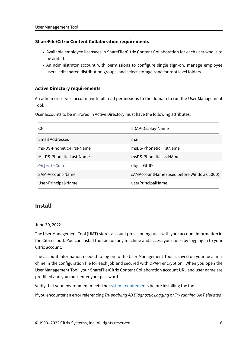#### **ShareFile/Citrix Content Collaboration requirements**

- Available employee licensees in ShareFile/Citrix Content Collaboration for each user who is to be added.
- An administrator account with permissions to configure single sign-on, manage employee users, edit shared distribution groups, and select storage zone for root level folders.

#### **Active Directory requirements**

An admin or service account with full read permissions to the domain to run the User Management Tool.

User accounts to be mirrored in Active Directory must have the following attributes:

| <b>CN</b>                 | LDAP-Display-Name                         |
|---------------------------|-------------------------------------------|
| <b>Email Addresses</b>    | mail                                      |
| ms-DS-Phonetic-First-Name | msDS-PhoneticFirstName                    |
| Ms-DS-Phonetic-Last-Name  | msDS-PhoneticLastNAme                     |
| Object-Guid               | objectGUID                                |
| SAM-Account-Name          | sAMAccountName (used before Windows 2000) |
| User-Principal-Name       | userPrincipalName                         |

### **Install**

#### <span id="page-5-0"></span>June 30, 2022

The User Management Tool (UMT) stores account provisioning rules with your account information in the Citrix cloud. You can install the tool on any machine and access your rules by logging in to your Citrix account.

The account information needed to log on to the User Management Tool is saved on your local machine in the configuration file for each job and secured with DPAPI encryption. When you open the User Management Tool, your ShareFile/Citrix Content Collaboration account URL and user name are pre-filled and you must enter your password.

Verify that your environment meets the system requirements before installing the tool.

If you encounter an error referencing *Try enabling AD Diagnostic Logging* or *Try running UMT elevated*: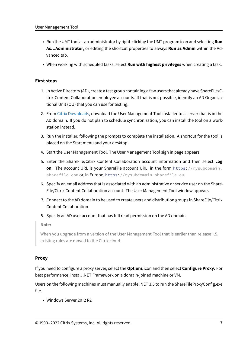- Run the UMT tool as an administrator by right-clicking the UMT program icon and selecting **Run As…Administrator**, or editing the shortcut properties to always **Run as Admin** within the Advanced tab.
- When working with scheduled tasks, select **Run with highest privileges** when creating a task.

#### **First steps**

- 1. In Active Directory (AD), create a test group containing a few users that already have ShareFile/Citrix Content Collaboration employee accounts. If that is not possible, identify an AD Organizational Unit (OU) that you can use for testing.
- 2. From Citrix Downloads, download the User Management Tool installer to a server that is in the AD domain. If you do not plan to schedule synchronization, you can install the tool on a workstation instead.
- 3. Runt[he installer, follow](https://www.citrix.com/downloads/sharefile/)ing the prompts to complete the installation. A shortcut for the tool is placed on the Start menu and your desktop.
- 4. Start the User Management Tool. The User Management Tool sign in page appears.
- 5. Enter the ShareFile/Citrix Content Collaboration account information and then select **Log on**. The account URL is your ShareFile account URL, in the form https://mysubdomain. sharefile.com or, in Europe, https://mysubdomain.sharefile.eu.
- 6. Specify an email address that is associated with an administrative or service user on the Share-File/Citrix Content Collaboration account. The User Management Tool window appears.
- 7. Connect to the AD domain to be used to create users and distribution groups in ShareFile/Citrix Content Collaboration.
- 8. Specify an AD user account that has full read permission on the AD domain.

**Note:**

When you upgrade from a version of the User Management Tool that is earlier than release 1.5, existing rules are moved to the Citrix cloud.

#### **Proxy**

If you need to configure a proxy server, select the **Options** icon and then select **Configure Proxy**. For best performance, install .NET Framework on a domain-joined machine or VM.

Users on the following machines must manually enable .NET 3.5 to run the ShareFileProxyConfig.exe file.

• Windows Server 2012 R2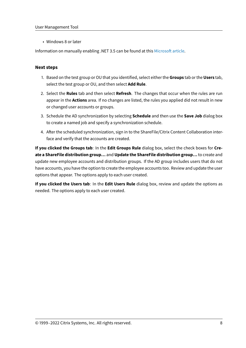• Windows 8 or later

Information on manually enabling .NET 3.5 can be found at this Microsoft article.

#### **Next steps**

- 1. Based on the test group or OU that you identified, select either the **Groups** tab or the **Users** tab, select the test group or OU, and then select **Add Rule**.
- 2. Select the **Rules** tab and then select **Refresh**. The changes that occur when the rules are run appear in the **Actions** area. If no changes are listed, the rules you applied did not result in new or changed user accounts or groups.
- 3. Schedule the AD synchronization by selecting **Schedule** and then use the **Save Job** dialog box to create a named job and specify a synchronization schedule.
- 4. After the scheduled synchronization, sign in to the ShareFile/Citrix Content Collaboration interface and verify that the accounts are created.

**If you clicked the Groups tab**: In the **Edit Groups Rule** dialog box, select the check boxes for **Create a ShareFile distribution group…** and **Update the ShareFile distribution group…** to create and update new employee accounts and distribution groups. If the AD group includes users that do not have accounts, you have the option to create the employee accounts too. Review and update the user options that appear. The options apply to each user created.

**If you clicked the Users tab**: In the **Edit Users Rule** dialog box, review and update the options as needed. The options apply to each user created.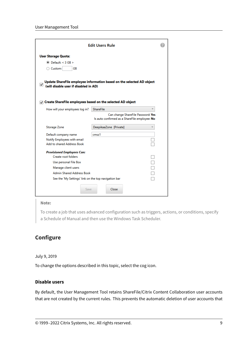|                                                                                                                                                                                              | <b>Edit Users Rule</b>                                                              |  |  |  |
|----------------------------------------------------------------------------------------------------------------------------------------------------------------------------------------------|-------------------------------------------------------------------------------------|--|--|--|
| <b>User Storage Quota:</b><br>$\odot$ Default: < 3 GB ><br>○ Custom:<br>GB                                                                                                                   |                                                                                     |  |  |  |
| Update ShareFile employee information based on the selected AD object<br>✓<br>(will disable user if disabled in AD)<br>$\sqrt{ }$ Create ShareFile employees based on the selected AD object |                                                                                     |  |  |  |
| How will your employees log in?                                                                                                                                                              | <b>ShareFile</b>                                                                    |  |  |  |
|                                                                                                                                                                                              | Can change ShareFile Password: Yes<br>Is auto confirmed as a ShareFile employee: No |  |  |  |
| Storage Zone                                                                                                                                                                                 | DeepikaaZone [Private]<br>v                                                         |  |  |  |
| Default company name                                                                                                                                                                         | cmsz1                                                                               |  |  |  |
| Notify Employees with email                                                                                                                                                                  |                                                                                     |  |  |  |
| Add to shared Address Book                                                                                                                                                                   |                                                                                     |  |  |  |
| <b>Provisioned Employees Can:</b><br>Create root folders.<br>Use personal File Box<br>Manage client users<br><b>Admin Shared Address Book</b>                                                |                                                                                     |  |  |  |
| See the 'My Settings' link on the top navigation bar<br>Save                                                                                                                                 | Close                                                                               |  |  |  |

#### **Note:**

To create a job that uses advanced configuration such as triggers, actions, or conditions, specify a Schedule of Manual and then use the Windows Task Scheduler.

# <span id="page-8-0"></span>**Configure**

#### July 9, 2019

To change the options described in this topic, select the cog icon.

#### **Disable users**

By default, the User Management Tool retains ShareFile/Citrix Content Collaboration user accounts that are not created by the current rules. This prevents the automatic deletion of user accounts that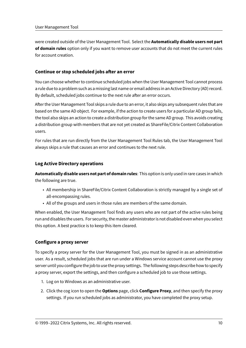were created outside of the User Management Tool. Select the **Automatically disable users not part of domain rules** option only if you want to remove user accounts that do not meet the current rules for account creation.

#### **Continue or stop scheduled jobs after an error**

You can choose whether to continue scheduled jobs when the User Management Tool cannot process a rule due to a problem such as a missing last name or email address in an Active Directory (AD) record. By default, scheduled jobs continue to the next rule after an error occurs.

After the User Management Tool skips a rule due to an error, it also skips any subsequent rules that are based on the same AD object. For example, if the action to create users for a particular AD group fails, the tool also skips an action to create a distribution group for the same AD group. This avoids creating a distribution group with members that are not yet created as ShareFile/Citrix Content Collaboration users.

For rules that are run directly from the User Management Tool Rules tab, the User Management Tool always skips a rule that causes an error and continues to the next rule.

#### **Log Active Directory operations**

**Automatically disable users not part of domain rules**: This option is only used in rare cases in which the following are true.

- All membership in ShareFile/Citrix Content Collaboration is strictly managed by a single set of all-encompassing rules.
- All of the groups and users in those rules are members of the same domain.

When enabled, the User Management Tool finds any users who are not part of the active rules being run and disables the users. For security, the master administrator is not disabled even when you select this option. A best practice is to keep this item cleared.

#### **Configure a proxy server**

To specify a proxy server for the User Management Tool, you must be signed in as an administrative user. As a result, scheduled jobs that are run under a Windows service account cannot use the proxy server until you configure the job to use the proxy settings. Thefollowing steps describe how to specify a proxy server, export the settings, and then configure a scheduled job to use those settings.

- 1. Log on to Windows as an administrative user.
- 2. Click the cog icon to open the **Options** page, click **Configure Proxy**, and then specify the proxy settings. If you run scheduled jobs as administrator, you have completed the proxy setup.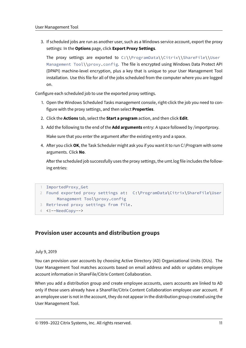3. If scheduled jobs are run as another user, such as a Windows service account, export the proxy settings: In the **Options** page, click **Export Proxy Settings**.

The proxy settings are exported to  $C:\\Per{\PeranData}\Citrix\ShareFile\Useer$ Management Tool\\proxy.config. The file is encrypted using Windows Data Protect API (DPAPI) machine-level encryption, plus a key that is unique to your User Management Tool installation. Use this file for all of the jobs scheduled from the computer where you are logged on.

Configure each scheduled job to use the exported proxy settings.

- 1. Open the Windows Scheduled Tasks management console, right-click the job you need to configure with the proxy settings, and then select **Properties**.
- 2. Click the **Actions** tab, select the **Start a program** action, and then click **Edit**.
- 3. Add the following to the end of the **Add arguments** entry: A space followed by /importproxy.

Make sure that you enter the argument after the existing entry and a space.

4. After you click **OK**, the Task Scheduler might ask you if you want it to run C:\Program with some arguments. Click **No**.

After the scheduled job successfully uses the proxy settings, the umt.log file includes the following entries:

```
1 ImportedProxy_Get
```

```
2 Found exported proxy settings at: C:\ProgramData\Citrix\ShareFile\User
Management Tool\proxy.config
```
- 3 Retrieved proxy settings from file.
- 4 <!--NeedCopy-->

# **Provision user accounts and distribution groups**

#### July 9, 2019

You can provision user accounts by choosing Active Directory (AD) Organizational Units (OUs). The User Management Tool matches accounts based on email address and adds or updates employee account information in ShareFile/Citrix Content Collaboration.

When you add a distribution group and create employee accounts, users accounts are linked to AD only if those users already have a ShareFile/Citrix Content Collaboration employee user account. If an employee user is not in the account, they do not appear in the distribution group created using the User Management Tool.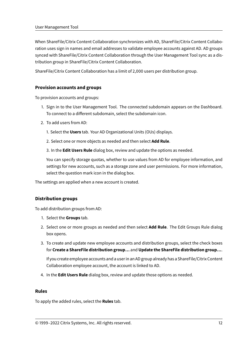When ShareFile/Citrix Content Collaboration synchronizes with AD, ShareFile/Citrix Content Collaboration uses sign in names and email addresses to validate employee accounts against AD. AD groups synced with ShareFile/Citrix Content Collaboration through the User Management Tool sync as a distribution group in ShareFile/Citrix Content Collaboration.

ShareFile/Citrix Content Collaboration has a limit of 2,000 users per distribution group.

#### **Provision accounts and groups**

To provision accounts and groups:

- 1. Sign in to the User Management Tool. The connected subdomain appears on the Dashboard. To connect to a different subdomain, select the subdomain icon.
- 2. To add users from AD:
	- 1. Select the **Users** tab. Your AD Organizational Units (OUs) displays.
	- 2. Select one or more objects as needed and then select **Add Rule**.
	- 3. In the **Edit Users Rule** dialog box, review and update the options as needed.

You can specify storage quotas, whether to use values from AD for employee information, and settings for new accounts, such as a storage zone and user permissions. For more information, select the question mark icon in the dialog box.

The settings are applied when a new account is created.

#### **Distribution groups**

To add distribution groups from AD:

- 1. Select the **Groups** tab.
- 2. Select one or more groups as needed and then select **Add Rule**. The Edit Groups Rule dialog box opens.
- 3. To create and update new employee accounts and distribution groups, select the check boxes for **Create a ShareFile distribution group…** and **Update the ShareFile distribution group…**.

If you create employee accounts and a user in an AD group already has a ShareFile/Citrix Content Collaboration employee account, the account is linked to AD.

4. In the **Edit Users Rule** dialog box, review and update those options as needed.

#### **Rules**

To apply the added rules, select the **Rules** tab.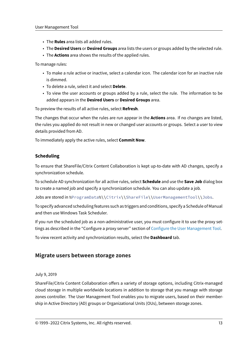- The **Rules** area lists all added rules.
- The **Desired Users** or **Desired Groups** area lists the users or groups added by the selected rule.
- The **Actions** area shows the results of the applied rules.

To manage rules:

- To make a rule active or inactive, select a calendar icon. The calendar icon for an inactive rule is dimmed.
- To delete a rule, select it and select **Delete**.
- To view the user accounts or groups added by a rule, select the rule. The information to be added appears in the **Desired Users** or **Desired Groups** area.

To preview the results of all active rules, select **Refresh**.

The changes that occur when the rules are run appear in the **Actions** area. If no changes are listed, the rules you applied do not result in new or changed user accounts or groups. Select a user to view details provided from AD.

To immediately apply the active rules, select **Commit Now**.

#### **Scheduling**

To ensure that ShareFile/Citrix Content Collaboration is kept up-to-date with AD changes, specify a synchronization schedule.

To schedule AD synchronization for all active rules, select **Schedule** and use the **Save Job** dialog box to create a named job and specify a synchronization schedule. You can also update a job.

Jobs are stored in %ProgramData%\\Citrix\\ShareFile\\UserManagementTool\\Jobs.

To specify advanced scheduling features such as triggers and conditions, specify a Schedule of Manual and then use Windows Task Scheduler.

If you run the scheduled job as a non-administrative user, you must configure it to use the proxy settings as described in the "Configure a proxy server" section of Configure the User Management Tool.

To view recent activity and synchronization results, select the **Dashboard** tab.

#### **Migrate users between storage zones**

#### July 9, 2019

ShareFile/Citrix Content Collaboration offers a variety of storage options, including Citrix-managed cloud storage in multiple worldwide locations in addition to storage that you manage with storage zones controller. The User Management Tool enables you to migrate users, based on their membership in Active Directory (AD) groups or Organizational Units (OUs), between storage zones.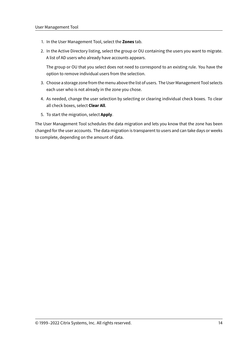- 1. In the User Management Tool, select the **Zones** tab.
- 2. In the Active Directory listing, select the group or OU containing the users you want to migrate. A list of AD users who already have accounts appears.

The group or OU that you select does not need to correspond to an existing rule. You have the option to remove individual users from the selection.

- 3. Choose a storage zone from the menu above the list of users. The User Management Tool selects each user who is not already in the zone you chose.
- 4. As needed, change the user selection by selecting or clearing individual check boxes. To clear all check boxes, select **Clear All**.
- 5. To start the migration, select **Apply**.

The User Management Tool schedules the data migration and lets you know that the zone has been changed for the user accounts. The data migration is transparent to users and can take days or weeks to complete, depending on the amount of data.